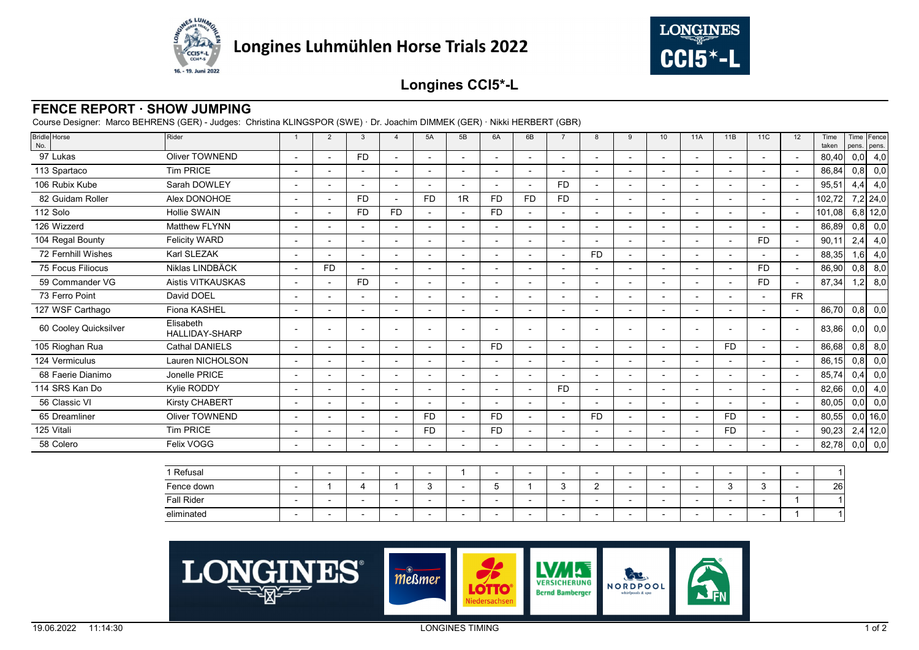



## **Longines CCI5\*-L**

## **FENCE REPORT · SHOW JUMPING**

Course Designer: Marco BEHRENS (GER) - Judges: Christina KLINGSPOR (SWE) · Dr. Joachim DIMMEK (GER) · Nikki HERBERT (GBR)

| Bridle Horse<br>No.   | Rider                              |                          | 2                        | 3                        |                          | 5A             | 5B             | 6A                       | 6B        |                          | 8                        | 9                        | 10                       | <b>11A</b>               | 11B                      | 11C                      | 12                       | Time<br>taken | pens. pens. | Time Fence |
|-----------------------|------------------------------------|--------------------------|--------------------------|--------------------------|--------------------------|----------------|----------------|--------------------------|-----------|--------------------------|--------------------------|--------------------------|--------------------------|--------------------------|--------------------------|--------------------------|--------------------------|---------------|-------------|------------|
| 97 Lukas              | <b>Oliver TOWNEND</b>              | $\overline{a}$           |                          | F <sub>D</sub>           | $\overline{\phantom{0}}$ |                |                |                          |           | $\overline{a}$           | $\overline{\phantom{0}}$ |                          | $\overline{\phantom{a}}$ | $\overline{\phantom{0}}$ | $\overline{\phantom{a}}$ | $\overline{a}$           |                          | 80,40         | 0,0         | 4,0        |
| 113 Spartaco          | Tim PRICE                          | ٠                        |                          |                          | ٠                        |                |                |                          |           |                          | $\overline{\phantom{0}}$ | $\blacksquare$           |                          | $\overline{\phantom{0}}$ |                          | -                        |                          | 86,84         | 0,8         | 0,0        |
| 106 Rubix Kube        | Sarah DOWLEY                       | $\overline{\phantom{a}}$ |                          |                          | $\overline{\phantom{0}}$ |                |                |                          |           | <b>FD</b>                | $\overline{\phantom{0}}$ |                          |                          | $\overline{\phantom{0}}$ |                          | $\blacksquare$           |                          | 95,51         | 4,4         | 4,0        |
| 82 Guidam Roller      | Alex DONOHOE                       | $\overline{\phantom{0}}$ |                          | F <sub>D</sub>           | $\overline{\phantom{a}}$ | <b>FD</b>      | 1R             | <b>FD</b>                | <b>FD</b> | <b>FD</b>                | $\overline{\phantom{a}}$ |                          |                          | $\overline{\phantom{a}}$ | $\overline{\phantom{0}}$ | $\blacksquare$           |                          | 102,72        |             | $7,2$ 24,0 |
| 112 Solo              | <b>Hollie SWAIN</b>                | $\overline{\phantom{a}}$ | $\overline{\phantom{a}}$ | <b>FD</b>                | <b>FD</b>                |                |                | <b>FD</b>                |           | ٠                        | $\overline{\phantom{a}}$ | $\overline{\phantom{a}}$ | $\blacksquare$           | $\overline{\phantom{a}}$ | $\overline{a}$           | $\overline{\phantom{0}}$ |                          | 101,08        |             | $6,8$ 12,0 |
| 126 Wizzerd           | <b>Matthew FLYNN</b>               | $\overline{\phantom{a}}$ |                          |                          |                          |                |                |                          |           |                          |                          |                          |                          |                          |                          |                          |                          | 86,89         | 0,8         | 0,0        |
| 104 Regal Bounty      | <b>Felicity WARD</b>               | $\overline{\phantom{0}}$ |                          |                          |                          |                |                |                          |           | $\blacksquare$           |                          | $\overline{a}$           |                          | $\overline{\phantom{0}}$ |                          | <b>FD</b>                |                          | 90,11         | 2,4         | 4,0        |
| 72 Fernhill Wishes    | Karl SLEZAK                        | $\overline{\phantom{a}}$ |                          |                          |                          |                |                |                          |           | $\overline{a}$           | <b>FD</b>                |                          |                          | $\overline{\phantom{0}}$ |                          |                          |                          | 88,35         | 1,6         | 4,0        |
| 75 Focus Filiocus     | Niklas LINDBÄCK                    | $\overline{a}$           | <b>FD</b>                | $\overline{\phantom{0}}$ | $\overline{\phantom{0}}$ |                |                |                          |           | $\blacksquare$           | $\overline{\phantom{0}}$ |                          |                          | $\overline{\phantom{a}}$ | $\overline{\phantom{0}}$ | <b>FD</b>                |                          | 86,90         | 0,8         | 8,0        |
| 59 Commander VG       | Aistis VITKAUSKAS                  | $\blacksquare$           | $\overline{\phantom{a}}$ | <b>FD</b>                | $\overline{\phantom{a}}$ |                | $\overline{a}$ |                          |           | $\overline{a}$           | $\overline{\phantom{0}}$ | $\overline{\phantom{a}}$ | $\overline{a}$           | $\overline{\phantom{a}}$ | $\overline{\phantom{0}}$ | <b>FD</b>                |                          | 87,34         | 1,2         | 8,0        |
| 73 Ferro Point        | David DOEL                         | $\overline{\phantom{a}}$ |                          |                          | $\overline{\phantom{0}}$ |                |                |                          |           | $\overline{a}$           | $\overline{\phantom{0}}$ | $\overline{\phantom{0}}$ |                          | $\overline{\phantom{0}}$ |                          | $\overline{\phantom{0}}$ | FR.                      |               |             |            |
| 127 WSF Carthago      | Fiona KASHEL                       | $\overline{\phantom{a}}$ |                          |                          | $\overline{\phantom{0}}$ |                |                |                          |           |                          |                          | $\overline{\phantom{0}}$ |                          | $\overline{\phantom{0}}$ |                          |                          |                          | 86,70         | 0,8         | 0,0        |
| 60 Cooley Quicksilver | Elisabeth<br><b>HALLIDAY-SHARP</b> | $\overline{\phantom{0}}$ |                          |                          |                          |                |                |                          |           |                          |                          |                          |                          |                          |                          |                          |                          | 83,86         | 0,0         | 0,0        |
| 105 Rioghan Rua       | <b>Cathal DANIELS</b>              | $\sim$                   |                          | $\overline{\phantom{0}}$ | $\overline{\phantom{0}}$ |                |                | <b>FD</b>                |           | $\overline{a}$           | $\overline{\phantom{a}}$ | $\overline{\phantom{0}}$ | $\overline{\phantom{0}}$ | $\blacksquare$           | FD.                      | $\overline{\phantom{0}}$ | $\sim$                   | 86,68         | 0,8         | 8,0        |
| 124 Vermiculus        | Lauren NICHOLSON                   | $\overline{\phantom{a}}$ |                          |                          |                          |                |                |                          |           |                          |                          | $\overline{\phantom{0}}$ |                          | $\overline{\phantom{0}}$ |                          |                          |                          | 86,15         | 0,8         | 0,0        |
| 68 Faerie Dianimo     | Jonelle PRICE                      | $\blacksquare$           | $\overline{a}$           |                          | $\overline{\phantom{0}}$ |                |                |                          |           | $\overline{a}$           | $\overline{\phantom{a}}$ | $\blacksquare$           | $\overline{a}$           | $\overline{\phantom{0}}$ | $\overline{\phantom{a}}$ | $\overline{\phantom{0}}$ |                          | 85,74         | 0,4         | 0,0        |
| 114 SRS Kan Do        | Kylie RODDY                        | $\overline{\phantom{0}}$ |                          |                          |                          |                |                |                          |           | <b>FD</b>                |                          |                          |                          |                          |                          |                          |                          | 82,66         | 0,0         | 4,0        |
| 56 Classic VI         | Kirsty CHABERT                     | $\overline{\phantom{a}}$ |                          | $\overline{\phantom{0}}$ | $\overline{a}$           |                |                |                          |           | $\overline{\phantom{0}}$ | $\overline{\phantom{0}}$ | $\overline{a}$           | $\blacksquare$           | $\overline{\phantom{0}}$ | $\overline{a}$           | $\overline{\phantom{a}}$ |                          | 80,05         | 0,0         | 0,0        |
| 65 Dreamliner         | Oliver TOWNEND                     | $\overline{\phantom{a}}$ |                          | $\overline{\phantom{a}}$ | $\overline{a}$           | F <sub>D</sub> |                | <b>FD</b>                |           | $\overline{a}$           | <b>FD</b>                | $\overline{\phantom{0}}$ | $\overline{\phantom{a}}$ | $\blacksquare$           | FD.                      | $\overline{\phantom{0}}$ | $\overline{\phantom{a}}$ | 80,55         |             | $0,0$ 16,0 |
| 125 Vitali            | <b>Tim PRICE</b>                   | $\overline{\phantom{a}}$ |                          |                          |                          | <b>FD</b>      |                | <b>FD</b>                |           | ٠                        | $\overline{\phantom{a}}$ | $\overline{\phantom{a}}$ | $\blacksquare$           | $\overline{\phantom{a}}$ | <b>FD</b>                | $\overline{\phantom{0}}$ |                          | 90,23         |             | $2,4$ 12,0 |
| 58 Colero             | Felix VOGG                         | $\overline{\phantom{a}}$ | $\overline{\phantom{0}}$ | $\blacksquare$           | $\overline{\phantom{0}}$ |                |                | $\overline{\phantom{0}}$ |           | $\blacksquare$           | $\overline{\phantom{0}}$ | $\overline{\phantom{0}}$ | $\blacksquare$           | $\overline{\phantom{a}}$ | $\overline{\phantom{0}}$ | $\overline{\phantom{0}}$ |                          | 82,78         | 0,0         | 0,0        |

| 1 Refusal  | $\overline{\phantom{0}}$ |  | $\overline{\phantom{0}}$ |  |  | -                        |  |   | $\overline{\phantom{0}}$ |  |    |
|------------|--------------------------|--|--------------------------|--|--|--------------------------|--|---|--------------------------|--|----|
| Fence down |                          |  |                          |  |  | -                        |  |   |                          |  | 26 |
| Fall Rider | $\overline{\phantom{0}}$ |  |                          |  |  | $\overline{\phantom{a}}$ |  | - |                          |  |    |
| eliminated | $\overline{\phantom{0}}$ |  |                          |  |  |                          |  |   |                          |  |    |